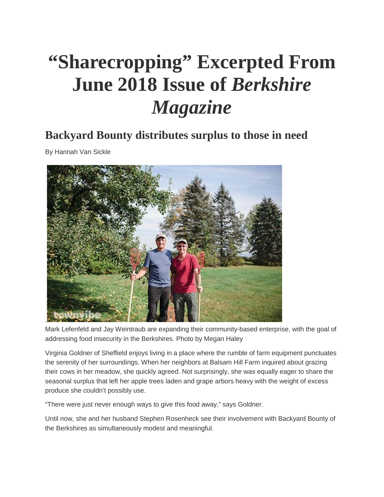## **"Sharecropping" Excerpted From June 2018 Issue of** *Berkshire Magazine*

## **Backyard Bounty distributes surplus to those in need**

By Hannah Van Sickle



Mark Lefenfeld and Jay Weintraub are expanding their community-based enterprise, with the goal of addressing food insecurity in the Berkshires. Photo by Megan Haley

Virginia Goldner of Sheffield enjoys living in a place where the rumble of farm equipment punctuates the serenity of her surroundings. When her neighbors at Balsam Hill Farm inquired about grazing their cows in her meadow, she quickly agreed. Not surprisingly, she was equally eager to share the seasonal surplus that left her apple trees laden and grape arbors heavy with the weight of excess produce she couldn't possibly use.

"There were just never enough ways to give this food away," says Goldner.

Until now, she and her husband Stephen Rosenheck see their involvement with Backyard Bounty of the Berkshires as simultaneously modest and meaningful.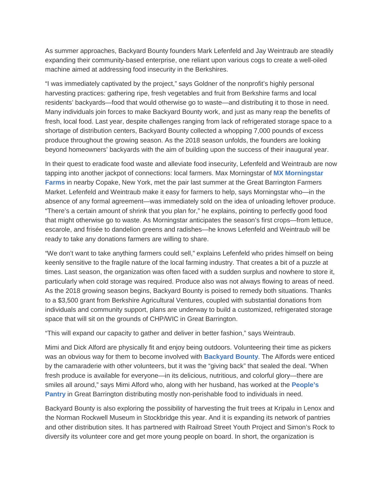As summer approaches, Backyard Bounty founders Mark Lefenfeld and Jay Weintraub are steadily expanding their community-based enterprise, one reliant upon various cogs to create a well-oiled machine aimed at addressing food insecurity in the Berkshires.

"I was immediately captivated by the project," says Goldner of the nonprofit's highly personal harvesting practices: gathering ripe, fresh vegetables and fruit from Berkshire farms and local residents' backyards—food that would otherwise go to waste—and distributing it to those in need. Many individuals join forces to make Backyard Bounty work, and just as many reap the benefits of fresh, local food. Last year, despite challenges ranging from lack of refrigerated storage space to a shortage of distribution centers, Backyard Bounty collected a whopping 7,000 pounds of excess produce throughout the growing season. As the 2018 season unfolds, the founders are looking beyond homeowners' backyards with the aim of building upon the success of their inaugural year.

In their quest to eradicate food waste and alleviate food insecurity, Lefenfeld and Weintraub are now tapping into another jackpot of connections: local farmers. Max Morningstar of **[MX Morningstar](http://www.mxmorningstarfarm.com/)  [Farms](http://www.mxmorningstarfarm.com/)** in nearby Copake, New York, met the pair last summer at the Great Barrington Farmers Market. Lefenfeld and Weintraub make it easy for farmers to help, says Morningstar who—in the absence of any formal agreement—was immediately sold on the idea of unloading leftover produce. "There's a certain amount of shrink that you plan for," he explains, pointing to perfectly good food that might otherwise go to waste. As Morningstar anticipates the season's first crops—from lettuce, escarole, and frisée to dandelion greens and radishes—he knows Lefenfeld and Weintraub will be ready to take any donations farmers are willing to share.

"We don't want to take anything farmers could sell," explains Lefenfeld who prides himself on being keenly sensitive to the fragile nature of the local farming industry. That creates a bit of a puzzle at times. Last season, the organization was often faced with a sudden surplus and nowhere to store it, particularly when cold storage was required. Produce also was not always flowing to areas of need. As the 2018 growing season begins, Backyard Bounty is poised to remedy both situations. Thanks to a \$3,500 grant from Berkshire Agricultural Ventures, coupled with substantial donations from individuals and community support, plans are underway to build a customized, refrigerated storage space that will sit on the grounds of CHP/WIC in Great Barrington.

"This will expand our capacity to gather and deliver in better fashion," says Weintraub.

Mimi and Dick Alford are physically fit and enjoy being outdoors. Volunteering their time as pickers was an obvious way for them to become involved with **[Backyard Bounty](http://www.backyardbountyberkshires.org/)**. The Alfords were enticed by the camaraderie with other volunteers, but it was the "giving back" that sealed the deal. "When fresh produce is available for everyone—in its delicious, nutritious, and colorful glory—there are smiles all around," says Mimi Alford who, along with her husband, has worked at the **[People's](http://www.berkshirefoodweb.org/city/great-barrington/listing/peoples-pantry/)  [Pantry](http://www.berkshirefoodweb.org/city/great-barrington/listing/peoples-pantry/)** in Great Barrington distributing mostly non-perishable food to individuals in need.

Backyard Bounty is also exploring the possibility of harvesting the fruit trees at Kripalu in Lenox and the Norman Rockwell Museum in Stockbridge this year. And it is expanding its network of pantries and other distribution sites. It has partnered with Railroad Street Youth Project and Simon's Rock to diversify its volunteer core and get more young people on board. In short, the organization is